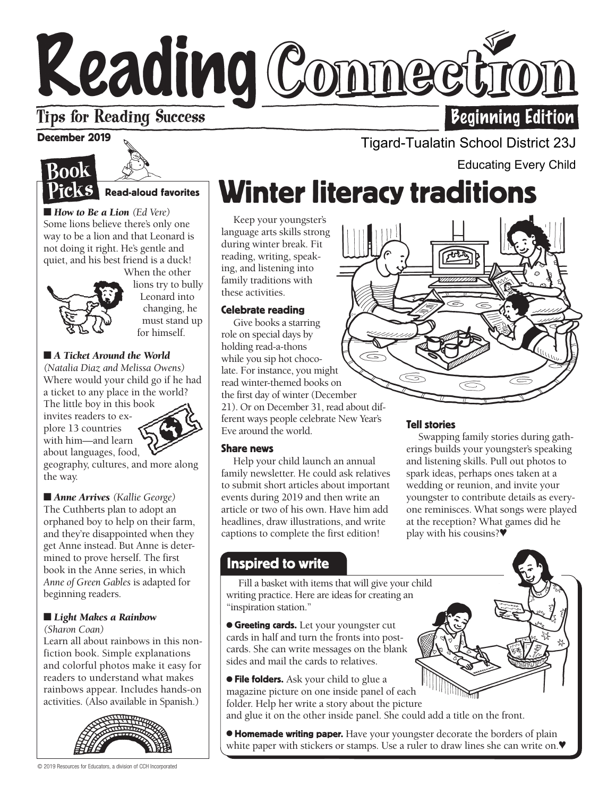# Keading Comnectic **Beginning Edition**

### **Tips for Reading Success**

#### December 2019





■ *How to Be a Lion* (*Ed Vere*) Some lions believe there's only one way to be a lion and that Leonard is not doing it right. He's gentle and quiet, and his best friend is a duck!



When the other lions try to bully Leonard into changing, he must stand up for himself.

#### ■ *A Ticket Around the World*

*(Natalia Diaz and Melissa Owens)*  Where would your child go if he had a ticket to any place in the world?

The little boy in this book invites readers to explore 13 countries with him—and learn about languages, food,



geography, cultures, and more along the way.

■ *Anne Arrives (Kallie George)* The Cuthberts plan to adopt an orphaned boy to help on their farm, and they're disappointed when they get Anne instead. But Anne is determined to prove herself. The first book in the Anne series, in which *Anne of Green Gables* is adapted for beginning readers.

#### ■ *Light Makes a Rainbow*

*(Sharon Coan)* 

Learn all about rainbows in this nonfiction book. Simple explanations and colorful photos make it easy for readers to understand what makes rainbows appear. Includes hands-on activities. (Also available in Spanish.)



Educating Every Child

# Winter literacy traditions

Keep your youngster's language arts skills strong during winter break. Fit reading, writing, speaking, and listening into family traditions with these activities.

#### Celebrate reading

Give books a starring role on special days by holding read-a-thons while you sip hot chocolate. For instance, you might read winter-themed books on the first day of winter (December 21). Or on December 31, read about different ways people celebrate New Year's Eve around the world.

#### Share news

Help your child launch an annual family newsletter. He could ask relatives to submit short articles about important events during 2019 and then write an article or two of his own. Have him add headlines, draw illustrations, and write captions to complete the first edition!



Tigard-Tualatin School District 23J

#### Tell stories

Swapping family stories during gatherings builds your youngster's speaking and listening skills. Pull out photos to spark ideas, perhaps ones taken at a wedding or reunion, and invite your youngster to contribute details as everyone reminisces. What songs were played at the reception? What games did he play with his cousins?♥

#### Inspired to write

w Fill a basket with items that will give your child writing practice. Here are ideas for creating an "inspiration station."

**• Greeting cards.** Let your youngster cut cards in half and turn the fronts into postcards. She can write messages on the blank sides and mail the cards to relatives.

**• File folders.** Ask your child to glue a magazine picture on one inside panel of each folder. Help her write a story about the picture and glue it on the other inside panel. She could add a title on the front.

**• Homemade writing paper.** Have your youngster decorate the borders of plain white paper with stickers or stamps. Use a ruler to draw lines she can write on.♥

© 2019 Resources for Educators, a division of CCH Incorporated